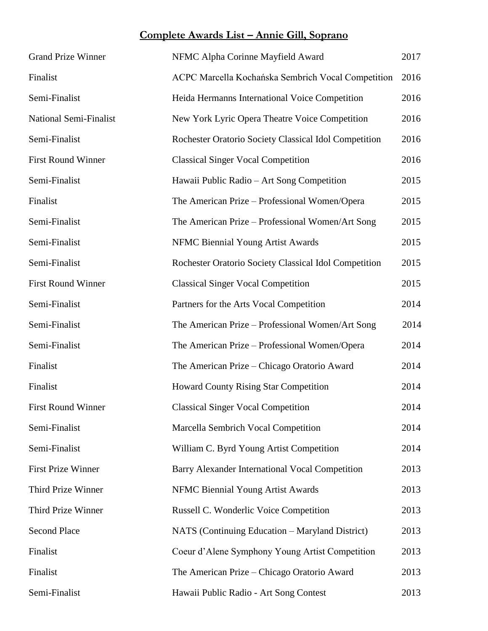## **Complete Awards List – Annie Gill, Soprano**

| <b>Grand Prize Winner</b>     | NFMC Alpha Corinne Mayfield Award                     | 2017 |
|-------------------------------|-------------------------------------------------------|------|
| Finalist                      | ACPC Marcella Kochańska Sembrich Vocal Competition    | 2016 |
| Semi-Finalist                 | Heida Hermanns International Voice Competition        | 2016 |
| <b>National Semi-Finalist</b> | New York Lyric Opera Theatre Voice Competition        | 2016 |
| Semi-Finalist                 | Rochester Oratorio Society Classical Idol Competition | 2016 |
| <b>First Round Winner</b>     | <b>Classical Singer Vocal Competition</b>             | 2016 |
| Semi-Finalist                 | Hawaii Public Radio - Art Song Competition            | 2015 |
| Finalist                      | The American Prize – Professional Women/Opera         | 2015 |
| Semi-Finalist                 | The American Prize – Professional Women/Art Song      | 2015 |
| Semi-Finalist                 | NFMC Biennial Young Artist Awards                     | 2015 |
| Semi-Finalist                 | Rochester Oratorio Society Classical Idol Competition | 2015 |
| <b>First Round Winner</b>     | <b>Classical Singer Vocal Competition</b>             | 2015 |
| Semi-Finalist                 | Partners for the Arts Vocal Competition               | 2014 |
| Semi-Finalist                 | The American Prize – Professional Women/Art Song      | 2014 |
| Semi-Finalist                 | The American Prize – Professional Women/Opera         | 2014 |
| Finalist                      | The American Prize – Chicago Oratorio Award           | 2014 |
| Finalist                      | <b>Howard County Rising Star Competition</b>          | 2014 |
| <b>First Round Winner</b>     | <b>Classical Singer Vocal Competition</b>             | 2014 |
| Semi-Finalist                 | Marcella Sembrich Vocal Competition                   | 2014 |
| Semi-Finalist                 | William C. Byrd Young Artist Competition              | 2014 |
| <b>First Prize Winner</b>     | Barry Alexander International Vocal Competition       | 2013 |
| Third Prize Winner            | NFMC Biennial Young Artist Awards                     | 2013 |
| Third Prize Winner            | Russell C. Wonderlic Voice Competition                | 2013 |
| <b>Second Place</b>           | NATS (Continuing Education – Maryland District)       | 2013 |
| Finalist                      | Coeur d'Alene Symphony Young Artist Competition       | 2013 |
| Finalist                      | The American Prize - Chicago Oratorio Award           | 2013 |
| Semi-Finalist                 | Hawaii Public Radio - Art Song Contest                | 2013 |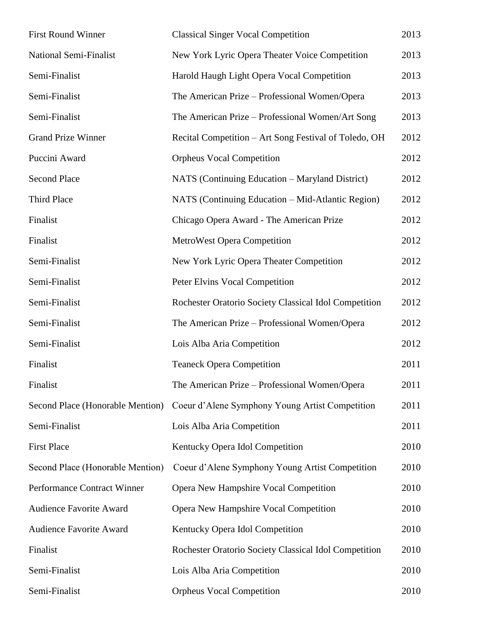| <b>First Round Winner</b>        | <b>Classical Singer Vocal Competition</b>             | 2013 |
|----------------------------------|-------------------------------------------------------|------|
| <b>National Semi-Finalist</b>    | New York Lyric Opera Theater Voice Competition        | 2013 |
| Semi-Finalist                    | Harold Haugh Light Opera Vocal Competition            | 2013 |
| Semi-Finalist                    | The American Prize – Professional Women/Opera         | 2013 |
| Semi-Finalist                    | The American Prize – Professional Women/Art Song      | 2013 |
| <b>Grand Prize Winner</b>        | Recital Competition - Art Song Festival of Toledo, OH | 2012 |
| Puccini Award                    | <b>Orpheus Vocal Competition</b>                      | 2012 |
| <b>Second Place</b>              | NATS (Continuing Education – Maryland District)       | 2012 |
| Third Place                      | NATS (Continuing Education – Mid-Atlantic Region)     | 2012 |
| Finalist                         | Chicago Opera Award - The American Prize              | 2012 |
| Finalist                         | MetroWest Opera Competition                           | 2012 |
| Semi-Finalist                    | New York Lyric Opera Theater Competition              | 2012 |
| Semi-Finalist                    | Peter Elvins Vocal Competition                        | 2012 |
| Semi-Finalist                    | Rochester Oratorio Society Classical Idol Competition | 2012 |
| Semi-Finalist                    | The American Prize - Professional Women/Opera         | 2012 |
| Semi-Finalist                    | Lois Alba Aria Competition                            | 2012 |
| Finalist                         | <b>Teaneck Opera Competition</b>                      | 2011 |
| Finalist                         | The American Prize - Professional Women/Opera         | 2011 |
| Second Place (Honorable Mention) | Coeur d'Alene Symphony Young Artist Competition       | 2011 |
| Semi-Finalist                    | Lois Alba Aria Competition                            | 2011 |
| <b>First Place</b>               | Kentucky Opera Idol Competition                       | 2010 |
| Second Place (Honorable Mention) | Coeur d'Alene Symphony Young Artist Competition       | 2010 |
| Performance Contract Winner      | Opera New Hampshire Vocal Competition                 | 2010 |
| <b>Audience Favorite Award</b>   | Opera New Hampshire Vocal Competition                 | 2010 |
| Audience Favorite Award          | Kentucky Opera Idol Competition                       | 2010 |
| Finalist                         | Rochester Oratorio Society Classical Idol Competition | 2010 |
| Semi-Finalist                    | Lois Alba Aria Competition                            | 2010 |
| Semi-Finalist                    | <b>Orpheus Vocal Competition</b>                      | 2010 |